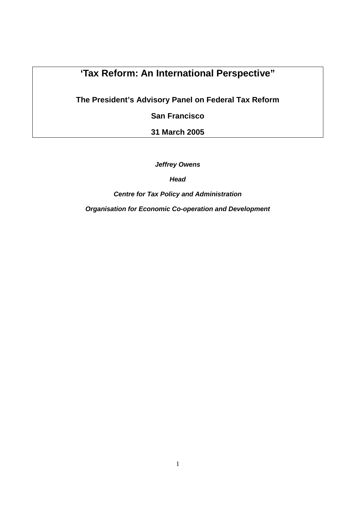## **'Tax Reform: An International Perspective"**

**The President's Advisory Panel on Federal Tax Reform** 

**San Francisco** 

**31 March 2005** 

**Jeffrey Owens** 

**Head** 

**Centre for Tax Policy and Administration** 

**Organisation for Economic Co-operation and Development**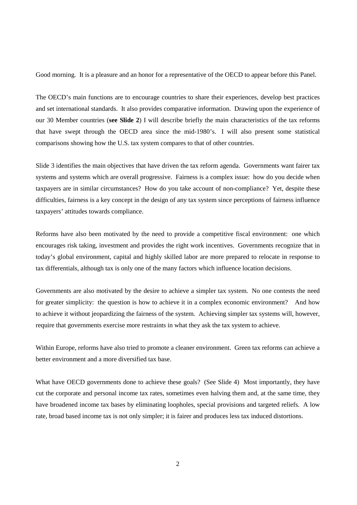Good morning. It is a pleasure and an honor for a representative of the OECD to appear before this Panel.

The OECD's main functions are to encourage countries to share their experiences, develop best practices and set international standards. It also provides comparative information. Drawing upon the experience of our 30 Member countries (**see Slide 2**) I will describe briefly the main characteristics of the tax reforms that have swept through the OECD area since the mid-1980's. I will also present some statistical comparisons showing how the U.S. tax system compares to that of other countries.

Slide 3 identifies the main objectives that have driven the tax reform agenda. Governments want fairer tax systems and systems which are overall progressive. Fairness is a complex issue: how do you decide when taxpayers are in similar circumstances? How do you take account of non-compliance? Yet, despite these difficulties, fairness is a key concept in the design of any tax system since perceptions of fairness influence taxpayers' attitudes towards compliance.

Reforms have also been motivated by the need to provide a competitive fiscal environment: one which encourages risk taking, investment and provides the right work incentives. Governments recognize that in today's global environment, capital and highly skilled labor are more prepared to relocate in response to tax differentials, although tax is only one of the many factors which influence location decisions.

Governments are also motivated by the desire to achieve a simpler tax system. No one contests the need for greater simplicity: the question is how to achieve it in a complex economic environment? And how to achieve it without jeopardizing the fairness of the system. Achieving simpler tax systems will, however, require that governments exercise more restraints in what they ask the tax system to achieve.

Within Europe, reforms have also tried to promote a cleaner environment. Green tax reforms can achieve a better environment and a more diversified tax base.

What have OECD governments done to achieve these goals? (See Slide 4) Most importantly, they have cut the corporate and personal income tax rates, sometimes even halving them and, at the same time, they have broadened income tax bases by eliminating loopholes, special provisions and targeted reliefs. A low rate, broad based income tax is not only simpler; it is fairer and produces less tax induced distortions.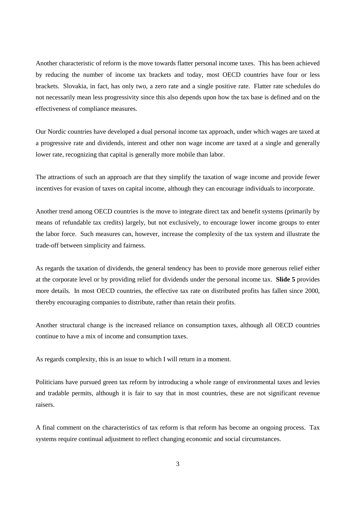Another characteristic of reform is the move towards flatter personal income taxes. This has been achieved by reducing the number of income tax brackets and today, most OECD countries have four or less brackets. Slovakia, in fact, has only two, a zero rate and a single positive rate. Flatter rate schedules do not necessarily mean less progressivity since this also depends upon how the tax base is defined and on the effectiveness of compliance measures.

Our Nordic countries have developed a dual personal income tax approach, under which wages are taxed at a progressive rate and dividends, interest and other non wage income are taxed at a single and generally lower rate, recognizing that capital is generally more mobile than labor.

The attractions of such an approach are that they simplify the taxation of wage income and provide fewer incentives for evasion of taxes on capital income, although they can encourage individuals to incorporate.

Another trend among OECD countries is the move to integrate direct tax and benefit systems (primarily by means of refundable tax credits) largely, but not exclusively, to encourage lower income groups to enter the labor force. Such measures can, however, increase the complexity of the tax system and illustrate the trade-off between simplicity and fairness.

As regards the taxation of dividends, the general tendency has been to provide more generous relief either at the corporate level or by providing relief for dividends under the personal income tax. **Slide 5** provides more details. In most OECD countries, the effective tax rate on distributed profits has fallen since 2000, thereby encouraging companies to distribute, rather than retain their profits.

Another structural change is the increased reliance on consumption taxes, although all OECD countries continue to have a mix of income and consumption taxes.

As regards complexity, this is an issue to which I will return in a moment.

Politicians have pursued green tax reform by introducing a whole range of environmental taxes and levies and tradable permits, although it is fair to say that in most countries, these are not significant revenue raisers.

A final comment on the characteristics of tax reform is that reform has become an ongoing process. Tax systems require continual adjustment to reflect changing economic and social circumstances.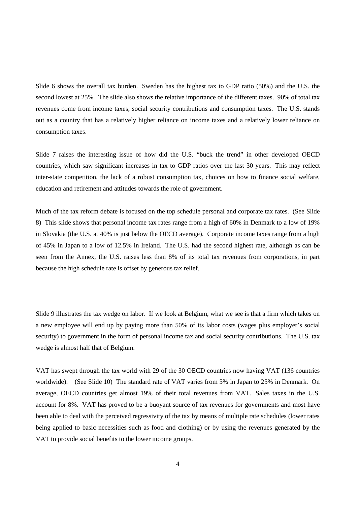Slide 6 shows the overall tax burden. Sweden has the highest tax to GDP ratio (50%) and the U.S. the second lowest at 25%. The slide also shows the relative importance of the different taxes. 90% of total tax revenues come from income taxes, social security contributions and consumption taxes. The U.S. stands out as a country that has a relatively higher reliance on income taxes and a relatively lower reliance on consumption taxes.

Slide 7 raises the interesting issue of how did the U.S. "buck the trend" in other developed OECD countries, which saw significant increases in tax to GDP ratios over the last 30 years. This may reflect inter-state competition, the lack of a robust consumption tax, choices on how to finance social welfare, education and retirement and attitudes towards the role of government.

Much of the tax reform debate is focused on the top schedule personal and corporate tax rates. (See Slide 8) This slide shows that personal income tax rates range from a high of 60% in Denmark to a low of 19% in Slovakia (the U.S. at 40% is just below the OECD average). Corporate income taxes range from a high of 45% in Japan to a low of 12.5% in Ireland. The U.S. had the second highest rate, although as can be seen from the Annex, the U.S. raises less than 8% of its total tax revenues from corporations, in part because the high schedule rate is offset by generous tax relief.

Slide 9 illustrates the tax wedge on labor. If we look at Belgium, what we see is that a firm which takes on a new employee will end up by paying more than 50% of its labor costs (wages plus employer's social security) to government in the form of personal income tax and social security contributions. The U.S. tax wedge is almost half that of Belgium.

VAT has swept through the tax world with 29 of the 30 OECD countries now having VAT (136 countries worldwide). (See Slide 10) The standard rate of VAT varies from 5% in Japan to 25% in Denmark. On average, OECD countries get almost 19% of their total revenues from VAT. Sales taxes in the U.S. account for 8%. VAT has proved to be a buoyant source of tax revenues for governments and most have been able to deal with the perceived regressivity of the tax by means of multiple rate schedules (lower rates being applied to basic necessities such as food and clothing) or by using the revenues generated by the VAT to provide social benefits to the lower income groups.